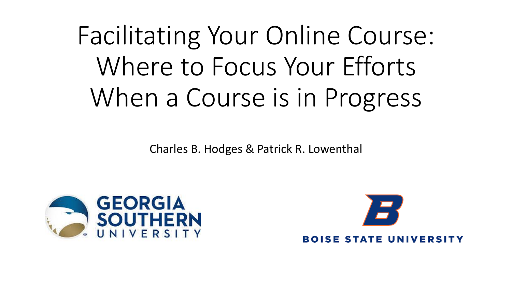# Facilitating Your Online Course: Where to Focus Your Efforts When a Course is in Progress

Charles B. Hodges & Patrick R. Lowenthal



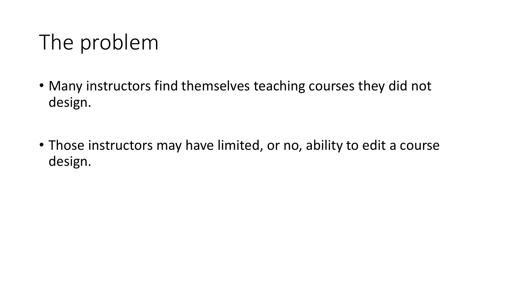# The problem

- Many instructors find themselves teaching courses they did not design.
- Those instructors may have limited, or no, ability to edit a course design.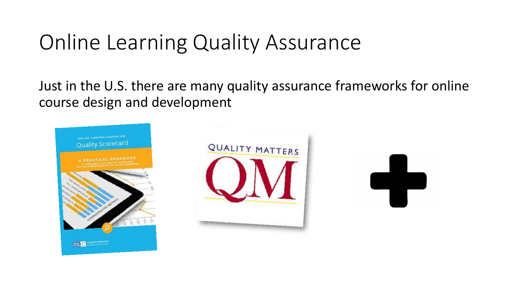### Online Learning Quality Assurance

Just in the U.S. there are many quality assurance frameworks for online course design and development





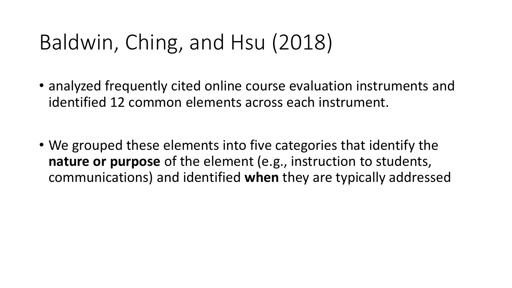# Baldwin, Ching, and Hsu (2018)

- analyzed frequently cited online course evaluation instruments and identified 12 common elements across each instrument.
- We grouped these elements into five categories that identify the **nature or purpose** of the element (e.g., instruction to students, communications) and identified **when** they are typically addressed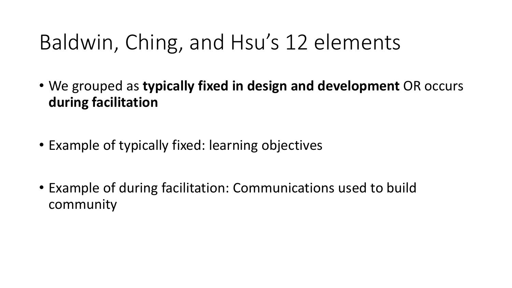## Baldwin, Ching, and Hsu's 12 elements

- We grouped as **typically fixed in design and development** OR occurs **during facilitation**
- Example of typically fixed: learning objectives
- Example of during facilitation: Communications used to build community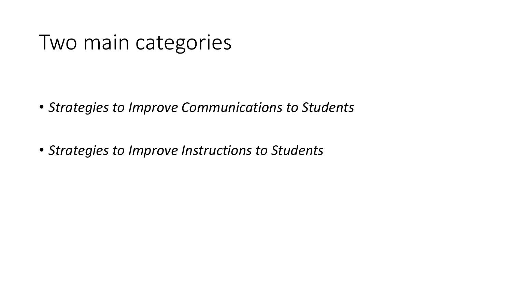#### Two main categories

- *Strategies to Improve Communications to Students*
- *Strategies to Improve Instructions to Students*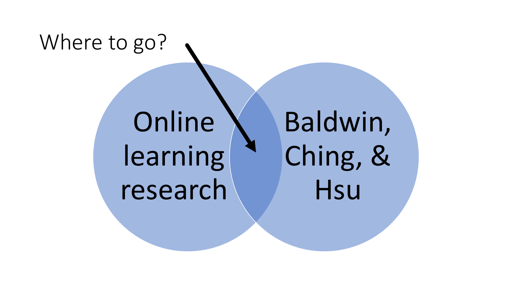# Where to go?

Online learning research Baldwin, Ching, & **Hsu**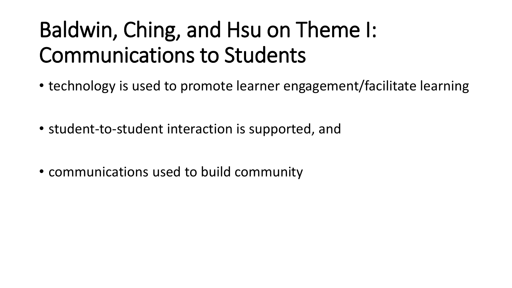# Baldwin, Ching, and Hsu on Theme I: Communications to Students

- technology is used to promote learner engagement/facilitate learning
- student-to-student interaction is supported, and
- communications used to build community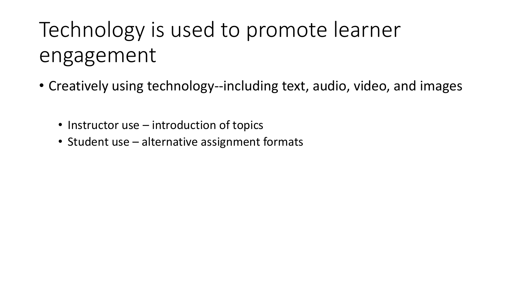# Technology is used to promote learner engagement

- Creatively using technology--including text, audio, video, and images
	- Instructor use introduction of topics
	- Student use alternative assignment formats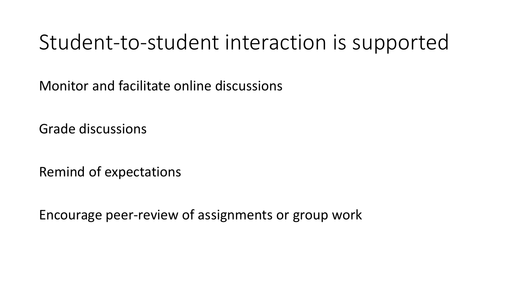#### Student-to-student interaction is supported

Monitor and facilitate online discussions

Grade discussions

Remind of expectations

Encourage peer-review of assignments or group work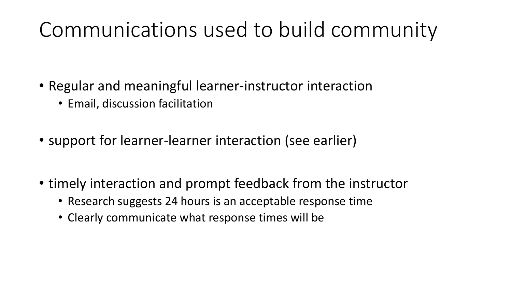## Communications used to build community

- Regular and meaningful learner-instructor interaction
	- Email, discussion facilitation
- support for learner-learner interaction (see earlier)
- timely interaction and prompt feedback from the instructor
	- Research suggests 24 hours is an acceptable response time
	- Clearly communicate what response times will be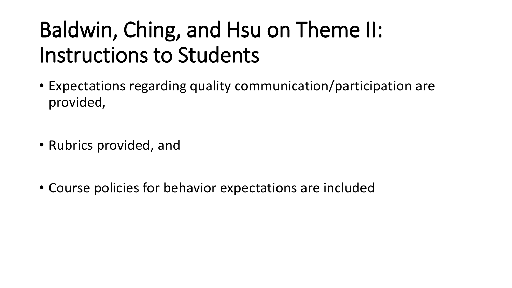# Baldwin, Ching, and Hsu on Theme II: Instructions to Students

- Expectations regarding quality communication/participation are provided,
- Rubrics provided, and
- Course policies for behavior expectations are included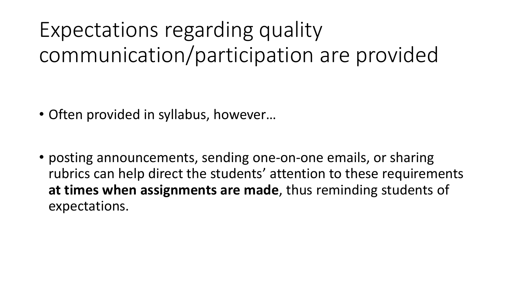Expectations regarding quality communication/participation are provided

- Often provided in syllabus, however…
- posting announcements, sending one-on-one emails, or sharing rubrics can help direct the students' attention to these requirements **at times when assignments are made**, thus reminding students of expectations.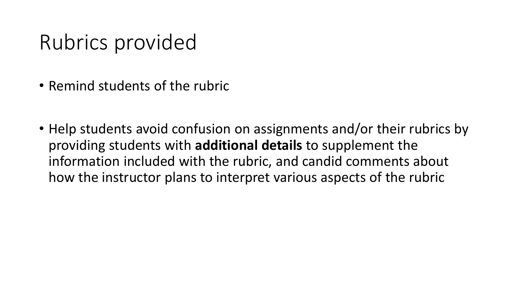## Rubrics provided

- Remind students of the rubric
- Help students avoid confusion on assignments and/or their rubrics by providing students with **additional details** to supplement the information included with the rubric, and candid comments about how the instructor plans to interpret various aspects of the rubric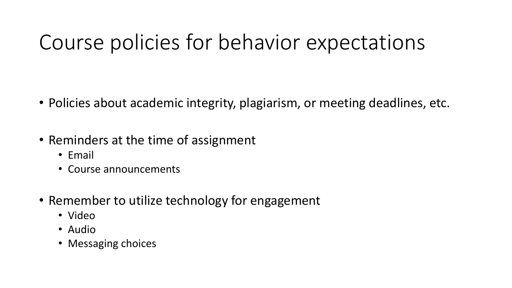## Course policies for behavior expectations

- Policies about academic integrity, plagiarism, or meeting deadlines, etc.
- Reminders at the time of assignment
	- Email
	- Course announcements
- Remember to utilize technology for engagement
	- Video
	- Audio
	- Messaging choices